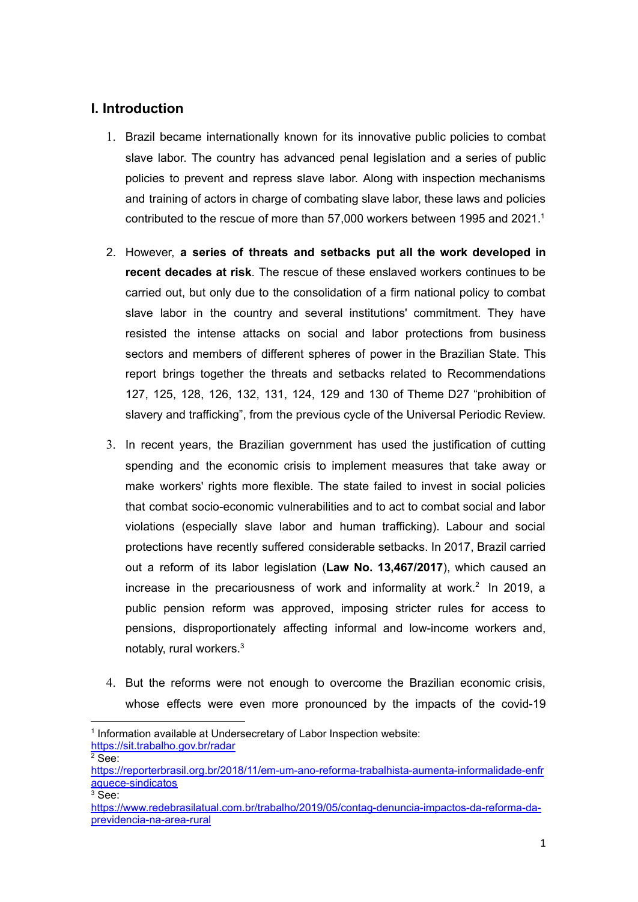### **I. Introduction**

- 1. Brazil became internationally known for its innovative public policies to combat slave labor. The country has advanced penal legislation and a series of public policies to prevent and repress slave labor. Along with inspection mechanisms and training of actors in charge of combating slave labor, these laws and policies contributed to the rescue of more than 57,000 workers between 1995 and 2021. 1
- 2. However, **a series of threats and setbacks put all the work developed in recent decades at risk**. The rescue of these enslaved workers continues to be carried out, but only due to the consolidation of a firm national policy to combat slave labor in the country and several institutions' commitment. They have resisted the intense attacks on social and labor protections from business sectors and members of different spheres of power in the Brazilian State. This report brings together the threats and setbacks related to Recommendations 127, 125, 128, 126, 132, 131, 124, 129 and 130 of Theme D27 "prohibition of slavery and trafficking", from the previous cycle of the Universal Periodic Review.
- 3. In recent years, the Brazilian government has used the justification of cutting spending and the economic crisis to implement measures that take away or make workers' rights more flexible. The state failed to invest in social policies that combat socio-economic vulnerabilities and to act to combat social and labor violations (especially slave labor and human trafficking). Labour and social protections have recently suffered considerable setbacks. In 2017, Brazil carried out a reform of its labor legislation (**Law No. 13,467/2017**), which caused an increase in the precariousness of work and informality at work. 2 In 2019, a public pension reform was approved, imposing stricter rules for access to pensions, disproportionately affecting informal and low-income workers and, notably, rural workers. 3
- 4. But the reforms were not enough to overcome the Brazilian economic crisis, whose effects were even more pronounced by the impacts of the covid-19

<https://sit.trabalho.gov.br/radar>

<sup>&</sup>lt;sup>1</sup> Information available at Undersecretary of Labor Inspection website:

 $2$  See:

[https://reporterbrasil.org.br/2018/11/em-um-ano-reforma-trabalhista-aumenta-informalidade-enfr](https://reporterbrasil.org.br/2018/11/em-um-ano-reforma-trabalhista-aumenta-informalidade-enfraquece-sindicatos) [aquece-sindicatos](https://reporterbrasil.org.br/2018/11/em-um-ano-reforma-trabalhista-aumenta-informalidade-enfraquece-sindicatos)

 $3$  See:

[https://www.redebrasilatual.com.br/trabalho/2019/05/contag-denuncia-impactos-da-reforma-da](https://www.redebrasilatual.com.br/trabalho/2019/05/contag-denuncia-impactos-da-reforma-da-previdencia-na-area-rural)[previdencia-na-area-rural](https://www.redebrasilatual.com.br/trabalho/2019/05/contag-denuncia-impactos-da-reforma-da-previdencia-na-area-rural)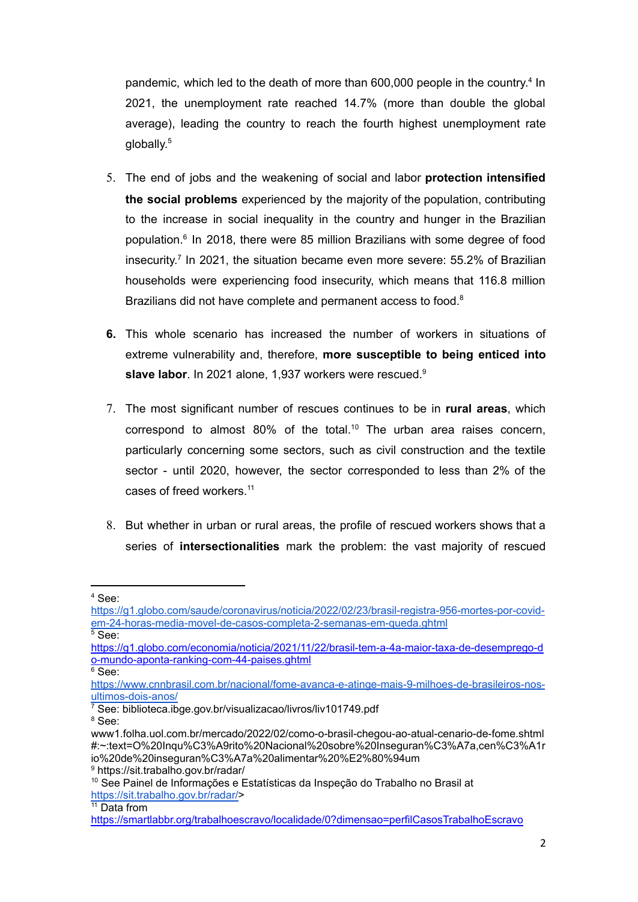pandemic, which led to the death of more than 600,000 people in the country.<sup>4</sup> In 2021, the unemployment rate reached 14.7% (more than double the global average), leading the country to reach the fourth highest unemployment rate globally. 5

- 5. The end of jobs and the weakening of social and labor **protection intensified the social problems** experienced by the majority of the population, contributing to the increase in social inequality in the country and hunger in the Brazilian population. 6 In 2018, there were 85 million Brazilians with some degree of food insecurity. 7 In 2021, the situation became even more severe: 55.2% of Brazilian households were experiencing food insecurity, which means that 116.8 million Brazilians did not have complete and permanent access to food.<sup>8</sup>
- **6.** This whole scenario has increased the number of workers in situations of extreme vulnerability and, therefore, **more susceptible to being enticed into slave labor**. In 2021 alone, 1,937 workers were rescued. 9
- 7. The most significant number of rescues continues to be in **rural areas**, which correspond to almost 80% of the total. <sup>10</sup> The urban area raises concern, particularly concerning some sectors, such as civil construction and the textile sector - until 2020, however, the sector corresponded to less than 2% of the cases of freed workers. 11
- 8. But whether in urban or rural areas, the profile of rescued workers shows that a series of **intersectionalities** mark the problem: the vast majority of rescued

<sup>4</sup> See:

[https://g1.globo.com/saude/coronavirus/noticia/2022/02/23/brasil-registra-956-mortes-por-covid](https://g1.globo.com/saude/coronavirus/noticia/2022/02/23/brasil-registra-956-mortes-por-covid-em-24-horas-media-movel-de-casos-completa-2-semanas-em-queda.ghtml)[em-24-horas-media-movel-de-casos-completa-2-semanas-em-queda.ghtml](https://g1.globo.com/saude/coronavirus/noticia/2022/02/23/brasil-registra-956-mortes-por-covid-em-24-horas-media-movel-de-casos-completa-2-semanas-em-queda.ghtml)

<sup>5</sup> See:

[https://g1.globo.com/economia/noticia/2021/11/22/brasil-tem-a-4a-maior-taxa-de-desemprego-d](https://g1.globo.com/economia/noticia/2021/11/22/brasil-tem-a-4a-maior-taxa-de-desemprego-do-mundo-aponta-ranking-com-44-paises.ghtml) [o-mundo-aponta-ranking-com-44-paises.ghtml](https://g1.globo.com/economia/noticia/2021/11/22/brasil-tem-a-4a-maior-taxa-de-desemprego-do-mundo-aponta-ranking-com-44-paises.ghtml)

 $6$  See:

[https://www.cnnbrasil.com.br/nacional/fome-avanca-e-atinge-mais-9-milhoes-de-brasileiros-nos](https://www.cnnbrasil.com.br/nacional/fome-avanca-e-atinge-mais-9-milhoes-de-brasileiros-nos-ultimos-dois-anos/)[ultimos-dois-anos/](https://www.cnnbrasil.com.br/nacional/fome-avanca-e-atinge-mais-9-milhoes-de-brasileiros-nos-ultimos-dois-anos/)

 $\sqrt{7}$  See: biblioteca.ibge.gov.br/visualizacao/livros/liv101749.pdf

<sup>8</sup> See:

<sup>9</sup> https://sit.trabalho.gov.br/radar/ www1.folha.uol.com.br/mercado/2022/02/como-o-brasil-chegou-ao-atual-cenario-de-fome.shtml #:~:text=O%20Inqu%C3%A9rito%20Nacional%20sobre%20Inseguran%C3%A7a,cen%C3%A1r io%20de%20inseguran%C3%A7a%20alimentar%20%E2%80%94um

<sup>&</sup>lt;sup>10</sup> See Painel de Informações e Estatísticas da Inspeção do Trabalho no Brasil at [https://sit.trabalho.gov.br/radar/>](https://sit.trabalho.gov.br/radar/)

 $11$  Data from

<https://smartlabbr.org/trabalhoescravo/localidade/0?dimensao=perfilCasosTrabalhoEscravo>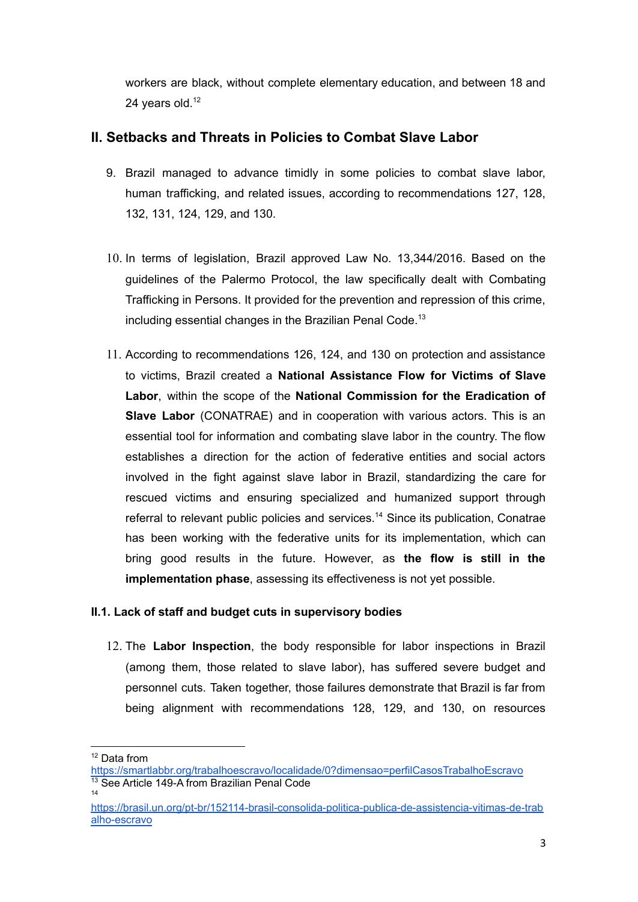workers are black, without complete elementary education, and between 18 and 24 years old. $12$ 

# **II. Setbacks and Threats in Policies to Combat Slave Labor**

- 9. Brazil managed to advance timidly in some policies to combat slave labor, human trafficking, and related issues, according to recommendations 127, 128, 132, 131, 124, 129, and 130.
- 10. In terms of legislation, Brazil approved Law No. 13,344/2016. Based on the guidelines of the Palermo Protocol, the law specifically dealt with Combating Trafficking in Persons. It provided for the prevention and repression of this crime, including essential changes in the Brazilian Penal Code.<sup>13</sup>
- 11. According to recommendations 126, 124, and 130 on protection and assistance to victims, Brazil created a **National Assistance Flow for Victims of Slave Labor**, within the scope of the **National Commission for the Eradication of Slave Labor** (CONATRAE) and in cooperation with various actors. This is an essential tool for information and combating slave labor in the country. The flow establishes a direction for the action of federative entities and social actors involved in the fight against slave labor in Brazil, standardizing the care for rescued victims and ensuring specialized and humanized support through referral to relevant public policies and services. <sup>14</sup> Since its publication, Conatrae has been working with the federative units for its implementation, which can bring good results in the future. However, as **the flow is still in the implementation phase**, assessing its effectiveness is not yet possible.

### **II.1. Lack of staff and budget cuts in supervisory bodies**

12. The **Labor Inspection**, the body responsible for labor inspections in Brazil (among them, those related to slave labor), has suffered severe budget and personnel cuts. Taken together, those failures demonstrate that Brazil is far from being alignment with recommendations 128, 129, and 130, on resources

<sup>&</sup>lt;sup>12</sup> Data from

 $14$ <sup>13</sup> See Article 149-A from Brazilian Penal Code <https://smartlabbr.org/trabalhoescravo/localidade/0?dimensao=perfilCasosTrabalhoEscravo>

[https://brasil.un.org/pt-br/152114-brasil-consolida-politica-publica-de-assistencia-vitimas-de-trab](https://brasil.un.org/pt-br/152114-brasil-consolida-politica-publica-de-assistencia-vitimas-de-trabalho-escravo) [alho-escravo](https://brasil.un.org/pt-br/152114-brasil-consolida-politica-publica-de-assistencia-vitimas-de-trabalho-escravo)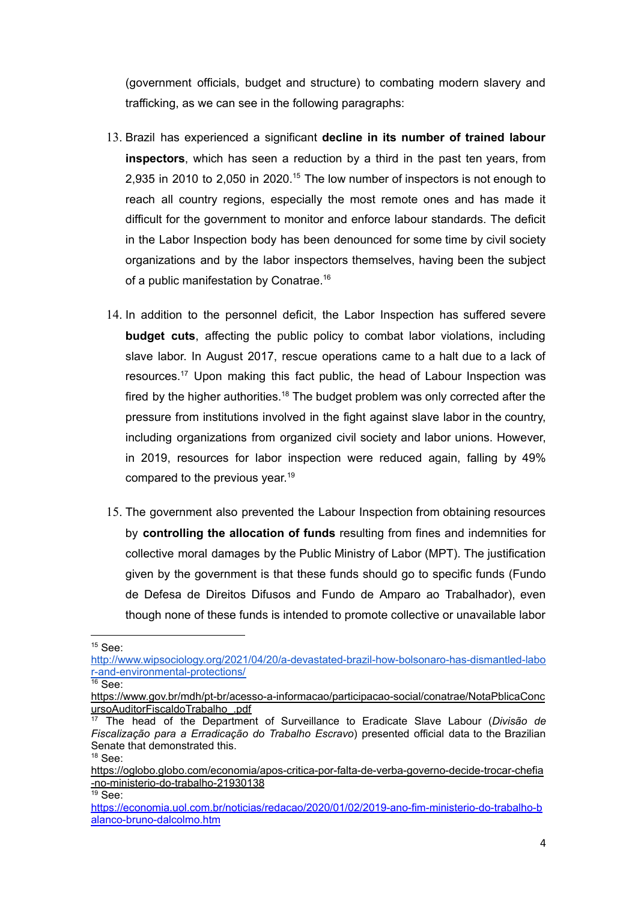(government officials, budget and structure) to combating modern slavery and trafficking, as we can see in the following paragraphs:

- 13. Brazil has experienced a significant **decline in its number of trained labour inspectors**, which has seen a reduction by a third in the past ten years, from 2,935 in 2010 to 2,050 in 2020.<sup>15</sup> The low number of inspectors is not enough to reach all country regions, especially the most remote ones and has made it difficult for the government to monitor and enforce labour standards. The deficit in the Labor Inspection body has been denounced for some time by civil society organizations and by the labor inspectors themselves, having been the subject of a public manifestation by Conatrae. 16
- 14. In addition to the personnel deficit, the Labor Inspection has suffered severe **budget cuts**, affecting the public policy to combat labor violations, including slave labor. In August 2017, rescue operations came to a halt due to a lack of resources. <sup>17</sup> Upon making this fact public, the head of Labour Inspection was fired by the higher authorities.<sup>18</sup> The budget problem was only corrected after the pressure from institutions involved in the fight against slave labor in the country, including organizations from organized civil society and labor unions. However, in 2019, resources for labor inspection were reduced again, falling by 49% compared to the previous year. 19
- 15. The government also prevented the Labour Inspection from obtaining resources by **controlling the allocation of funds** resulting from fines and indemnities for collective moral damages by the Public Ministry of Labor (MPT). The justification given by the government is that these funds should go to specific funds (Fundo de Defesa de Direitos Difusos and Fundo de Amparo ao Trabalhador), even though none of these funds is intended to promote collective or unavailable labor

 $15$  See:

[http://www.wipsociology.org/2021/04/20/a-devastated-brazil-how-bolsonaro-has-dismantled-labo](http://www.wipsociology.org/2021/04/20/a-devastated-brazil-how-bolsonaro-has-dismantled-labor-and-environmental-protections/) [r-and-environmental-protections/](http://www.wipsociology.org/2021/04/20/a-devastated-brazil-how-bolsonaro-has-dismantled-labor-and-environmental-protections/)

 $16$  See:

[https://www.gov.br/mdh/pt-br/acesso-a-informacao/participacao-social/conatrae/NotaPblicaConc](https://www.gov.br/mdh/pt-br/acesso-a-informacao/participacao-social/conatrae/NotaPblicaConcursoAuditorFiscaldoTrabalho_.pdf) [ursoAuditorFiscaldoTrabalho\\_.pdf](https://www.gov.br/mdh/pt-br/acesso-a-informacao/participacao-social/conatrae/NotaPblicaConcursoAuditorFiscaldoTrabalho_.pdf)

 $18$  See: <sup>17</sup> The head of the Department of Surveillance to Eradicate Slave Labour (*Divisão de Fiscalização para a Erradicação do Trabalho Escravo*) presented official data to the Brazilian Senate that demonstrated this.

 $19$  See: [https://oglobo.globo.com/economia/apos-critica-por-falta-de-verba-governo-decide-trocar-chefia](https://oglobo.globo.com/economia/apos-critica-por-falta-de-verba-governo-decide-trocar-chefia-no-ministerio-do-trabalho-21930138) [-no-ministerio-do-trabalho-21930138](https://oglobo.globo.com/economia/apos-critica-por-falta-de-verba-governo-decide-trocar-chefia-no-ministerio-do-trabalho-21930138)

[https://economia.uol.com.br/noticias/redacao/2020/01/02/2019-ano-fim-ministerio-do-trabalho-b](https://economia.uol.com.br/noticias/redacao/2020/01/02/2019-ano-fim-ministerio-do-trabalho-balanco-bruno-dalcolmo.htm) [alanco-bruno-dalcolmo.htm](https://economia.uol.com.br/noticias/redacao/2020/01/02/2019-ano-fim-ministerio-do-trabalho-balanco-bruno-dalcolmo.htm)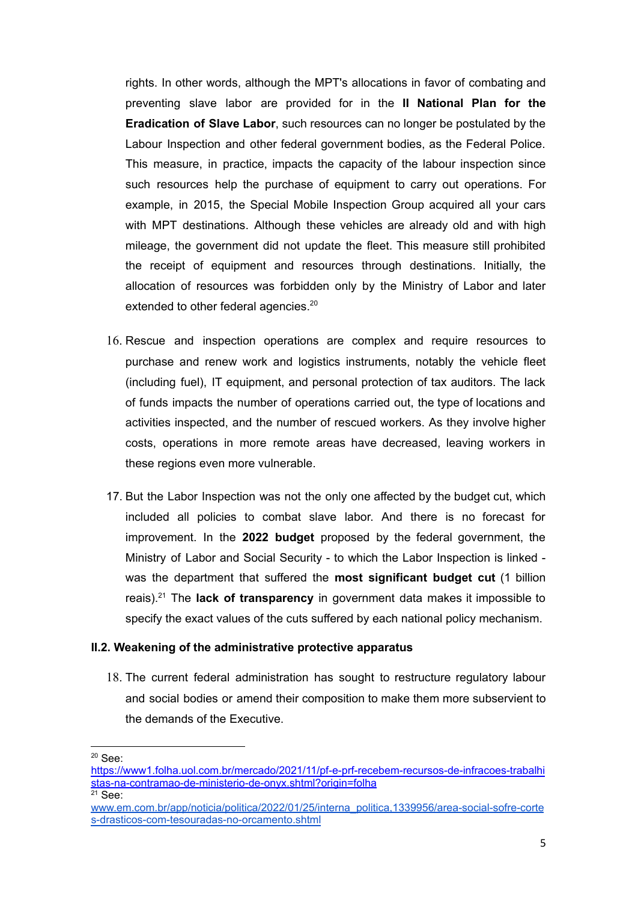rights. In other words, although the MPT's allocations in favor of combating and preventing slave labor are provided for in the **II National Plan for the Eradication of Slave Labor**, such resources can no longer be postulated by the Labour Inspection and other federal government bodies, as the Federal Police. This measure, in practice, impacts the capacity of the labour inspection since such resources help the purchase of equipment to carry out operations. For example, in 2015, the Special Mobile Inspection Group acquired all your cars with MPT destinations. Although these vehicles are already old and with high mileage, the government did not update the fleet. This measure still prohibited the receipt of equipment and resources through destinations. Initially, the allocation of resources was forbidden only by the Ministry of Labor and later extended to other federal agencies.<sup>20</sup>

- 16. Rescue and inspection operations are complex and require resources to purchase and renew work and logistics instruments, notably the vehicle fleet (including fuel), IT equipment, and personal protection of tax auditors. The lack of funds impacts the number of operations carried out, the type of locations and activities inspected, and the number of rescued workers. As they involve higher costs, operations in more remote areas have decreased, leaving workers in these regions even more vulnerable.
- 17. But the Labor Inspection was not the only one affected by the budget cut, which included all policies to combat slave labor. And there is no forecast for improvement. In the **2022 budget** proposed by the federal government, the Ministry of Labor and Social Security - to which the Labor Inspection is linked was the department that suffered the **most significant budget cut** (1 billion reais). <sup>21</sup> The **lack of transparency** in government data makes it impossible to specify the exact values of the cuts suffered by each national policy mechanism.

#### **II.2. Weakening of the administrative protective apparatus**

18. The current federal administration has sought to restructure regulatory labour and social bodies or amend their composition to make them more subservient to the demands of the Executive.

<sup>20</sup> See:

 $21$  See: [https://www1.folha.uol.com.br/mercado/2021/11/pf-e-prf-recebem-recursos-de-infracoes-trabalhi](https://www1.folha.uol.com.br/mercado/2021/11/pf-e-prf-recebem-recursos-de-infracoes-trabalhistas-na-contramao-de-ministerio-de-onyx.shtml?origin=folha) [stas-na-contramao-de-ministerio-de-onyx.shtml?origin=folha](https://www1.folha.uol.com.br/mercado/2021/11/pf-e-prf-recebem-recursos-de-infracoes-trabalhistas-na-contramao-de-ministerio-de-onyx.shtml?origin=folha)

[www.em.com.br/app/noticia/politica/2022/01/25/interna\\_politica,1339956/area-social-sofre-corte](https://www.em.com.br/app/noticia/politica/2022/01/25/interna_politica,1339956/area-social-sofre-cortes-drasticos-com-tesouradas-no-orcamento.shtml) [s-drasticos-com-tesouradas-no-orcamento.shtml](https://www.em.com.br/app/noticia/politica/2022/01/25/interna_politica,1339956/area-social-sofre-cortes-drasticos-com-tesouradas-no-orcamento.shtml)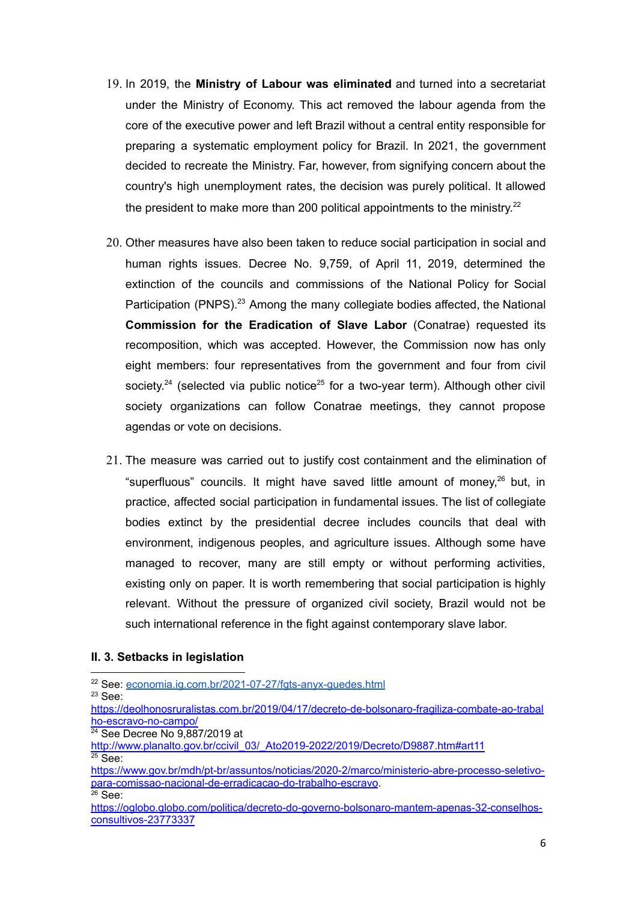- 19. In 2019, the **Ministry of Labour was eliminated** and turned into a secretariat under the Ministry of Economy. This act removed the labour agenda from the core of the executive power and left Brazil without a central entity responsible for preparing a systematic employment policy for Brazil. In 2021, the government decided to recreate the Ministry. Far, however, from signifying concern about the country's high unemployment rates, the decision was purely political. It allowed the president to make more than 200 political appointments to the ministry. $22$
- 20. Other measures have also been taken to reduce social participation in social and human rights issues. Decree No. 9,759, of April 11, 2019, determined the extinction of the councils and commissions of the National Policy for Social Participation (PNPS).<sup>23</sup> Among the many collegiate bodies affected, the National **Commission for the Eradication of Slave Labor** (Conatrae) requested its recomposition, which was accepted. However, the Commission now has only eight members: four representatives from the government and four from civil society.<sup>24</sup> (selected via public notice<sup>25</sup> for a two-year term). Although other civil society organizations can follow Conatrae meetings, they cannot propose agendas or vote on decisions.
- 21. The measure was carried out to justify cost containment and the elimination of "superfluous" councils. It might have saved little amount of money, <sup>26</sup> but, in practice, affected social participation in fundamental issues. The list of collegiate bodies extinct by the presidential decree includes councils that deal with environment, indigenous peoples, and agriculture issues. Although some have managed to recover, many are still empty or without performing activities, existing only on paper. It is worth remembering that social participation is highly relevant. Without the pressure of organized civil society, Brazil would not be such international reference in the fight against contemporary slave labor.

#### **II. 3. Setbacks in legislation**

<sup>24</sup> See Decree No 9,887/2019 at

<sup>23</sup> See: <sup>22</sup> See: [economia.ig.com.br/2021-07-27/fgts-anyx-guedes.html](https://economia.ig.com.br/2021-07-27/fgts-anyx-guedes.html)

[https://deolhonosruralistas.com.br/2019/04/17/decreto-de-bolsonaro-fragiliza-combate-ao-trabal](https://deolhonosruralistas.com.br/2019/04/17/decreto-de-bolsonaro-fragiliza-combate-ao-trabalho-escravo-no-campo/) [ho-escravo-no-campo/](https://deolhonosruralistas.com.br/2019/04/17/decreto-de-bolsonaro-fragiliza-combate-ao-trabalho-escravo-no-campo/)

 $25$  See: [http://www.planalto.gov.br/ccivil\\_03/\\_Ato2019-2022/2019/Decreto/D9887.htm#art11](http://www.planalto.gov.br/ccivil_03/_Ato2019-2022/2019/Decreto/D9887.htm#art11)

 $26$  See: [https://www.gov.br/mdh/pt-br/assuntos/noticias/2020-2/marco/ministerio-abre-processo-seletivo](https://www.gov.br/mdh/pt-br/assuntos/noticias/2020-2/marco/ministerio-abre-processo-seletivo-para-comissao-nacional-de-erradicacao-do-trabalho-escravo)[para-comissao-nacional-de-erradicacao-do-trabalho-escravo](https://www.gov.br/mdh/pt-br/assuntos/noticias/2020-2/marco/ministerio-abre-processo-seletivo-para-comissao-nacional-de-erradicacao-do-trabalho-escravo).

[https://oglobo.globo.com/politica/decreto-do-governo-bolsonaro-mantem-apenas-32-conselhos](https://oglobo.globo.com/politica/decreto-do-governo-bolsonaro-mantem-apenas-32-conselhos-consultivos-23773337)[consultivos-23773337](https://oglobo.globo.com/politica/decreto-do-governo-bolsonaro-mantem-apenas-32-conselhos-consultivos-23773337)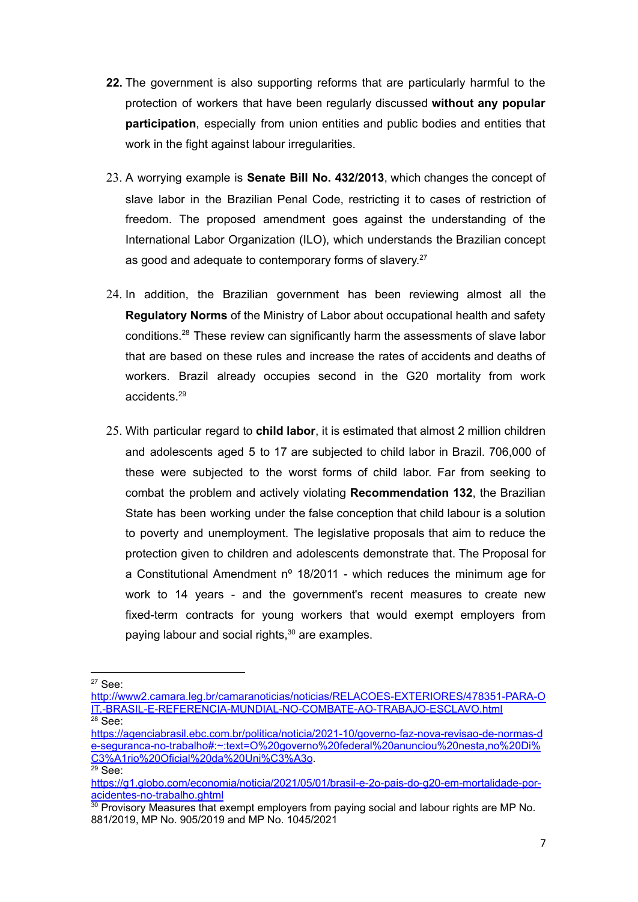- **22.** The government is also supporting reforms that are particularly harmful to the protection of workers that have been regularly discussed **without any popular participation**, especially from union entities and public bodies and entities that work in the fight against labour irregularities.
- 23. A worrying example is **Senate Bill No. 432/2013**, which changes the concept of slave labor in the Brazilian Penal Code, restricting it to cases of restriction of freedom. The proposed amendment goes against the understanding of the International Labor Organization (ILO), which understands the Brazilian concept as good and adequate to contemporary forms of slavery.<sup>27</sup>
- 24. In addition, the Brazilian government has been reviewing almost all the **Regulatory Norms** of the Ministry of Labor about occupational health and safety conditions. <sup>28</sup> These review can significantly harm the assessments of slave labor that are based on these rules and increase the rates of accidents and deaths of workers. Brazil already occupies second in the G20 mortality from work accidents. 29
- 25. With particular regard to **child labor**, it is estimated that almost 2 million children and adolescents aged 5 to 17 are subjected to child labor in Brazil. 706,000 of these were subjected to the worst forms of child labor. Far from seeking to combat the problem and actively violating **Recommendation 132**, the Brazilian State has been working under the false conception that child labour is a solution to poverty and unemployment. The legislative proposals that aim to reduce the protection given to children and adolescents demonstrate that. The Proposal for a Constitutional Amendment nº 18/2011 - which reduces the minimum age for work to 14 years - and the government's recent measures to create new fixed-term contracts for young workers that would exempt employers from paying labour and social rights, <sup>30</sup> are examples.

<sup>27</sup> See:

 $28$  See: [http://www2.camara.leg.br/camaranoticias/noticias/RELACOES-EXTERIORES/478351-PARA-O](http://www2.camara.leg.br/camaranoticias/noticias/RELACOES-EXTERIORES/478351-PARA-OIT,-BRASIL-E-REFERENCIA-MUNDIAL-NO-COMBATE-AO-TRABAJO-ESCLAVO.html) [IT,-BRASIL-E-REFERENCIA-MUNDIAL-NO-COMBATE-AO-TRABAJO-ESCLAVO.html](http://www2.camara.leg.br/camaranoticias/noticias/RELACOES-EXTERIORES/478351-PARA-OIT,-BRASIL-E-REFERENCIA-MUNDIAL-NO-COMBATE-AO-TRABAJO-ESCLAVO.html)

 $29$  See: [https://agenciabrasil.ebc.com.br/politica/noticia/2021-10/governo-faz-nova-revisao-de-normas-d](https://agenciabrasil.ebc.com.br/politica/noticia/2021-10/governo-faz-nova-revisao-de-normas-de-seguranca-no-trabalho#:~:text=O%20governo%20federal%20anunciou%20nesta,no%20Di%C3%A1rio%20Oficial%20da%20Uni%C3%A3o) [e-seguranca-no-trabalho#:~:text=O%20governo%20federal%20anunciou%20nesta,no%20Di%](https://agenciabrasil.ebc.com.br/politica/noticia/2021-10/governo-faz-nova-revisao-de-normas-de-seguranca-no-trabalho#:~:text=O%20governo%20federal%20anunciou%20nesta,no%20Di%C3%A1rio%20Oficial%20da%20Uni%C3%A3o) [C3%A1rio%20Oficial%20da%20Uni%C3%A3o](https://agenciabrasil.ebc.com.br/politica/noticia/2021-10/governo-faz-nova-revisao-de-normas-de-seguranca-no-trabalho#:~:text=O%20governo%20federal%20anunciou%20nesta,no%20Di%C3%A1rio%20Oficial%20da%20Uni%C3%A3o).

[https://g1.globo.com/economia/noticia/2021/05/01/brasil-e-2o-pais-do-g20-em-mortalidade-por](https://g1.globo.com/economia/noticia/2021/05/01/brasil-e-2o-pais-do-g20-em-mortalidade-por-acidentes-no-trabalho.ghtml)[acidentes-no-trabalho.ghtml](https://g1.globo.com/economia/noticia/2021/05/01/brasil-e-2o-pais-do-g20-em-mortalidade-por-acidentes-no-trabalho.ghtml)

 $30$  Provisory Measures that exempt employers from paying social and labour rights are MP No. 881/2019, MP No. 905/2019 and MP No. 1045/2021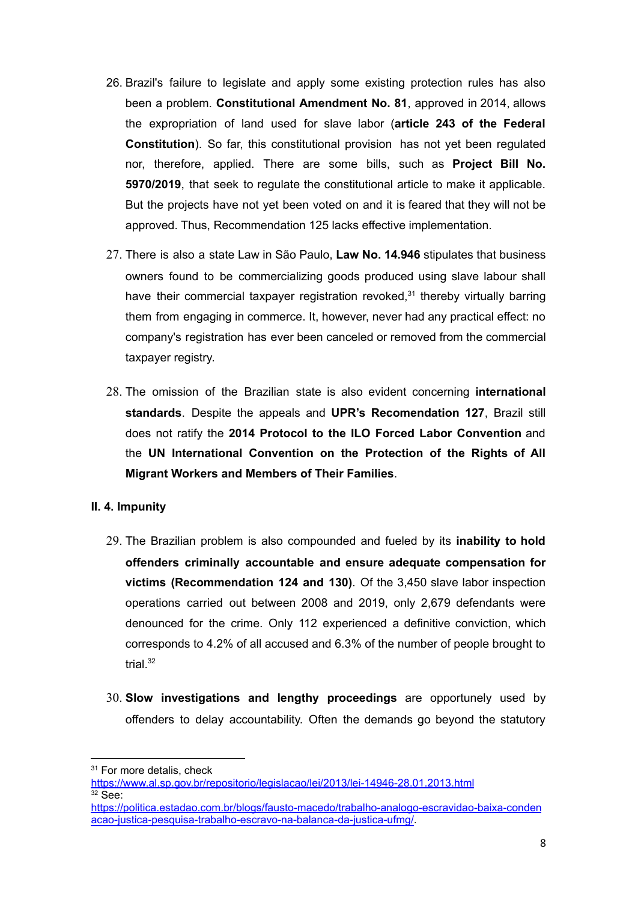- 26. Brazil's failure to legislate and apply some existing protection rules has also been a problem. **Constitutional Amendment No. 81**, approved in 2014, allows the expropriation of land used for slave labor (**article 243 of the Federal Constitution**). So far, this constitutional provision has not yet been regulated nor, therefore, applied. There are some bills, such as **Project Bill No. 5970/2019**, that seek to regulate the constitutional article to make it applicable. But the projects have not yet been voted on and it is feared that they will not be approved. Thus, Recommendation 125 lacks effective implementation.
- 27. There is also a state Law in São Paulo, **Law No. 14.946** stipulates that business owners found to be commercializing goods produced using slave labour shall have their commercial taxpayer registration revoked,<sup>31</sup> thereby virtually barring them from engaging in commerce. It, however, never had any practical effect: no company's registration has ever been canceled or removed from the commercial taxpayer registry.
- 28. The omission of the Brazilian state is also evident concerning **international standards**. Despite the appeals and **UPR's Recomendation 127**, Brazil still does not ratify the **2014 Protocol to the ILO Forced Labor Convention** and the **UN International Convention on the Protection of the Rights of All Migrant Workers and Members of Their Families**.

#### **II. 4. Impunity**

- 29. The Brazilian problem is also compounded and fueled by its **inability to hold offenders criminally accountable and ensure adequate compensation for victims (Recommendation 124 and 130)**. Of the 3,450 slave labor inspection operations carried out between 2008 and 2019, only 2,679 defendants were denounced for the crime. Only 112 experienced a definitive conviction, which corresponds to 4.2% of all accused and 6.3% of the number of people brought to trial. 32
- 30. **Slow investigations and lengthy proceedings** are opportunely used by offenders to delay accountability. Often the demands go beyond the statutory

<sup>&</sup>lt;sup>31</sup> For more detalis, check

 $32$  See: <https://www.al.sp.gov.br/repositorio/legislacao/lei/2013/lei-14946-28.01.2013.html>

[https://politica.estadao.com.br/blogs/fausto-macedo/trabalho-analogo-escravidao-baixa-conden](https://politica.estadao.com.br/blogs/fausto-macedo/trabalho-analogo-escravidao-baixa-condenacao-justica-pesquisa-trabalho-escravo-na-balanca-da-justica-ufmg/) [acao-justica-pesquisa-trabalho-escravo-na-balanca-da-justica-ufmg/.](https://politica.estadao.com.br/blogs/fausto-macedo/trabalho-analogo-escravidao-baixa-condenacao-justica-pesquisa-trabalho-escravo-na-balanca-da-justica-ufmg/)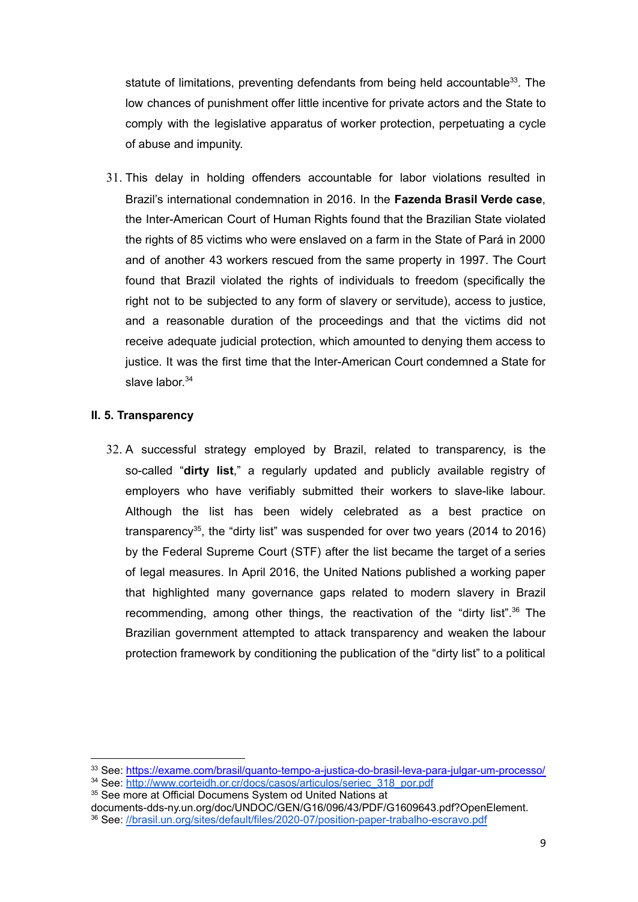statute of limitations, preventing defendants from being held accountable<sup>33</sup>. The low chances of punishment offer little incentive for private actors and the State to comply with the legislative apparatus of worker protection, perpetuating a cycle of abuse and impunity.

31. This delay in holding offenders accountable for labor violations resulted in Brazil's international condemnation in 2016. In the **Fazenda Brasil Verde case**, the Inter-American Court of Human Rights found that the Brazilian State violated the rights of 85 victims who were enslaved on a farm in the State of Pará in 2000 and of another 43 workers rescued from the same property in 1997. The Court found that Brazil violated the rights of individuals to freedom (specifically the right not to be subjected to any form of slavery or servitude), access to justice, and a reasonable duration of the proceedings and that the victims did not receive adequate judicial protection, which amounted to denying them access to justice. It was the first time that the Inter-American Court condemned a State for slave labor.<sup>34</sup>

#### **II. 5. Transparency**

32. A successful strategy employed by Brazil, related to transparency, is the so-called "**dirty list**," a regularly updated and publicly available registry of employers who have verifiably submitted their workers to slave-like labour. Although the list has been widely celebrated as a best practice on transparency 35 , the "dirty list" was suspended for over two years (2014 to 2016) by the Federal Supreme Court (STF) after the list became the target of a series of legal measures. In April 2016, the United Nations published a working paper that highlighted many governance gaps related to modern slavery in Brazil recommending, among other things, the reactivation of the "dirty list".<sup>36</sup> The Brazilian government attempted to attack transparency and weaken the labour protection framework by conditioning the publication of the "dirty list" to a political

35 See more at Official Documens System od United Nations at

<sup>33</sup> See: <https://exame.com/brasil/quanto-tempo-a-justica-do-brasil-leva-para-julgar-um-processo/>

<sup>&</sup>lt;sup>34</sup> See: [http://www.corteidh.or.cr/docs/casos/articulos/seriec\\_318\\_por.pdf](http://www.corteidh.or.cr/docs/casos/articulos/seriec_318_por.pdf)

documents-dds-ny.un.org/doc/UNDOC/GEN/G16/096/43/PDF/G1609643.pdf?OpenElement.

<sup>36</sup> See: [//brasil.un.org/sites/default/files/2020-07/position-paper-trabalho-escravo.pdf](https://brasil.un.org/sites/default/files/2020-07/position-paper-trabalho-escravo.pdf)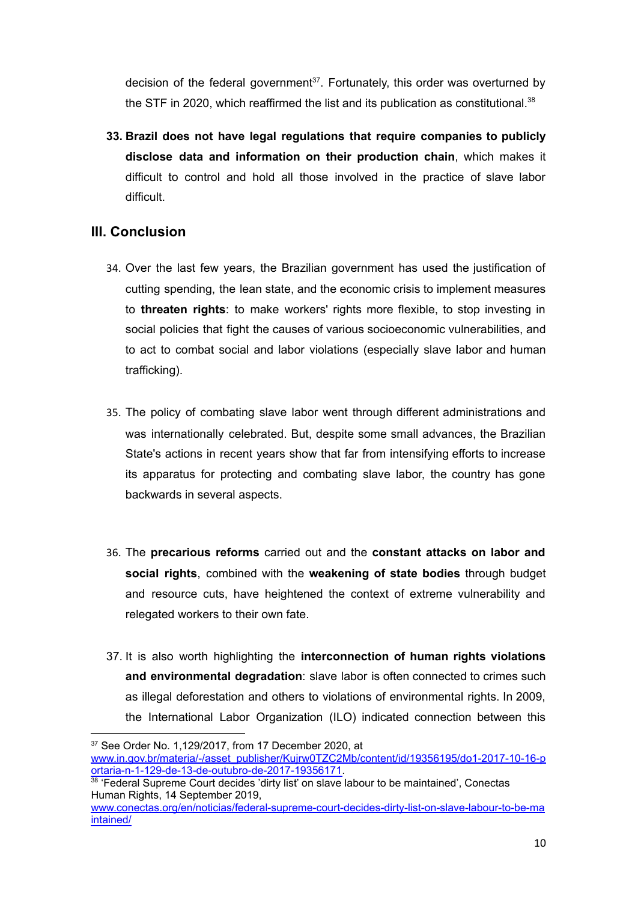decision of the federal government<sup>37</sup>. Fortunately, this order was overturned by the STF in 2020, which reaffirmed the list and its publication as constitutional.<sup>38</sup>

**33. Brazil does not have legal regulations that require companies to publicly disclose data and information on their production chain**, which makes it difficult to control and hold all those involved in the practice of slave labor difficult.

# **III. Conclusion**

- 34. Over the last few years, the Brazilian government has used the justification of cutting spending, the lean state, and the economic crisis to implement measures to **threaten rights**: to make workers' rights more flexible, to stop investing in social policies that fight the causes of various socioeconomic vulnerabilities, and to act to combat social and labor violations (especially slave labor and human trafficking).
- 35. The policy of combating slave labor went through different administrations and was internationally celebrated. But, despite some small advances, the Brazilian State's actions in recent years show that far from intensifying efforts to increase its apparatus for protecting and combating slave labor, the country has gone backwards in several aspects.
- 36. The **precarious reforms** carried out and the **constant attacks on labor and social rights**, combined with the **weakening of state bodies** through budget and resource cuts, have heightened the context of extreme vulnerability and relegated workers to their own fate.
- 37. It is also worth highlighting the **interconnection of human rights violations and environmental degradation**: slave labor is often connected to crimes such as illegal deforestation and others to violations of environmental rights. In 2009, the International Labor Organization (ILO) indicated connection between this

<sup>37</sup> See Order No. 1,129/2017, from 17 December 2020, at [www.in.gov.br/materia/-/asset\\_publisher/Kujrw0TZC2Mb/content/id/19356195/do1-2017-10-16-p](http://www.in.gov.br/materia/-/asset_publisher/Kujrw0TZC2Mb/content/id/19356195/do1-2017-10-16-portaria-n-1-129-de-13-de-outubro-de-2017-19356171) [ortaria-n-1-129-de-13-de-outubro-de-2017-19356171.](http://www.in.gov.br/materia/-/asset_publisher/Kujrw0TZC2Mb/content/id/19356195/do1-2017-10-16-portaria-n-1-129-de-13-de-outubro-de-2017-19356171)

<sup>&</sup>lt;sup>38</sup> 'Federal Supreme Court decides 'dirty list' on slave labour to be maintained', Conectas Human Rights, 14 September 2019,

[www.conectas.org/en/noticias/federal-supreme-court-decides-dirty-list-on-slave-labour-to-be-ma](http://www.conectas.org/en/noticias/federal-supreme-court-decides-dirty-list-on-slave-labour-to-be-maintained/) [intained/](http://www.conectas.org/en/noticias/federal-supreme-court-decides-dirty-list-on-slave-labour-to-be-maintained/)